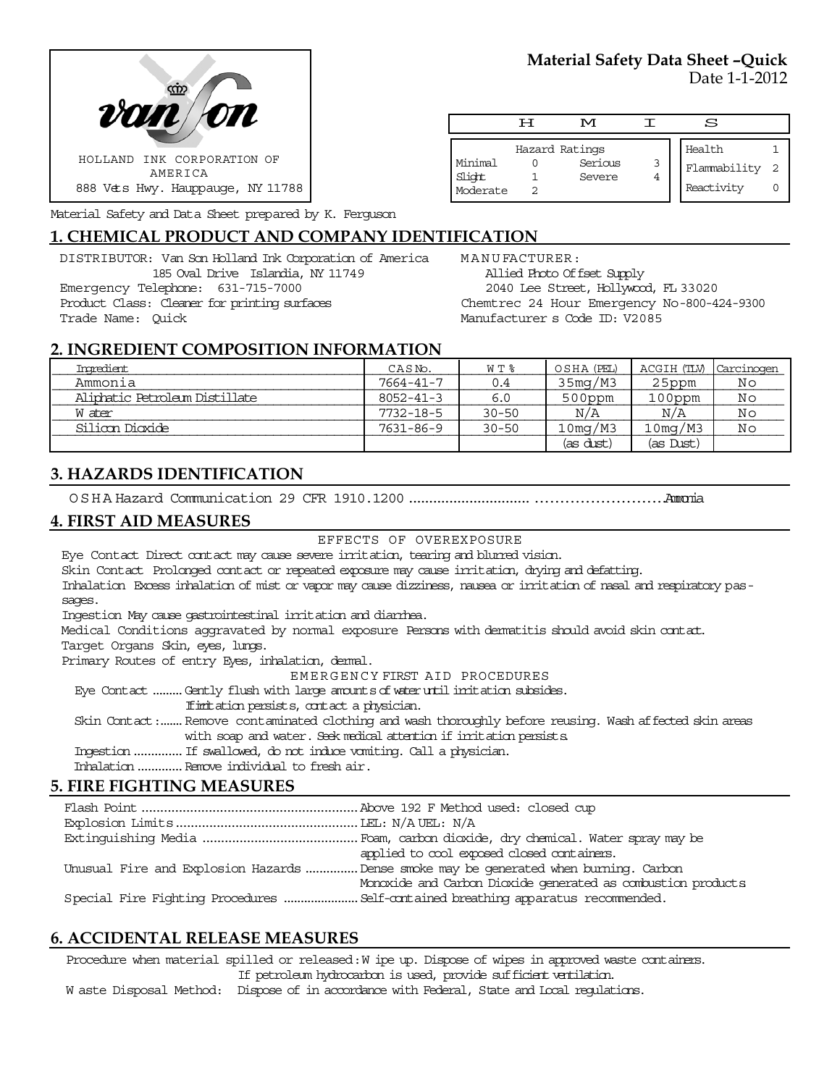



Health 1 Flammability 2 Reactivity 0



Material Safety and Data Sheet prepared by K. Ferguson

## **1. CHEMICAL PRODUCT AND COMPANY IDENTIFICATION**

DISTRIBUTOR: Van Son Holland Ink Corporation of America 185 Oval Drive Islandia, NY 11749 Emergency Telephone: 631-715-7000 Product Class: Cleaner for printing surfaces Trade Name: Quick

MANUFACTURER: Allied Photo Offset Supply 2040 Lee Street, Hollywood, FL 33020 Chemtrec 24 Hour Emergency No-800-424-9300 Manufacturer s Code ID: V2085

Hazard Ratings Minimal 0 Serious 3<br>Slicht 1 Severe 4

Moderate 2

1 Severe 4

H M I S

# **2. INGREDIENT COMPOSITION INFORMATION**

| Ingredient                     | CASNO.          | W T %     | OSHA (PEL)           | ACGIH (TLV) | Carcinogen |
|--------------------------------|-----------------|-----------|----------------------|-------------|------------|
| Ammonia                        | 7664-41-7       | 0.4       | 35mg/M3              | 25ppm       | Νo         |
| Aliphatic Petroleum Distillate | $8052 - 41 - 3$ | 6.0       | $500$ ppm            | 100ppm      | Νo         |
| W ater                         | 7732-18-5       | $30 - 50$ | N/A                  | N/A         | Νo         |
| Silioon Dioxide                | 7631-86-9       | $30 - 50$ | 10 <sub>mq</sub> /M3 | 10mg/M3     | Νo         |
|                                |                 |           | (as dust)            | (as Dust)   |            |

## **3. HAZARDS IDENTIFICATION**

OSHA Hazard Communication 29 CFR 1910.1200........................................................Ammonia

#### **4. FIRST AID MEASURES**

EFFECTS OF OVEREXPOSURE

Eye Contact Direct contact may cause severe irritation, tearing and blurred vision.

Skin Contact Prolonged contact or repeated exposure may cause irritation, drying and defatting.

Inhalation Excess inhalation of mist or vapor may cause dizziness, nausea or irritation of nasal and respiratory passages.

Ingestion May cause gastrointestinal irritation and diarrhea.

Medical Conditions aggravated by normal exposure Persons with dermatitis should avoid skin contact.

Target Organs Skin, eyes, lungs.

Primary Routes of entry Eyes, inhalation, demal.

EMERGENCY FIRST AID PROCEDURES

Eye Contact .........Gently flush with large amounts of water until irritation subsides.

Ifirritation persists, contact a physician.

 Skin Contact:.......Remove contaminated clothing and wash thoroughly before reusing. Wash affected skin areas with soap and water. Seek medical attention if irritation persists.

Ingestion..............If swallowed, do not induce vomiting. Call a physician.

Inhalation.............Remove individual to fresh air.

## **5. FIRE FIGHTING MEASURES**

| applied to cool exposed closed containers.                                            |
|---------------------------------------------------------------------------------------|
| Unusual Fire and Explosion Hazards  Dense smoke may be generated when burning. Carbon |
| Monoxide and Carbon Dioxide generated as combustion products                          |
|                                                                                       |
|                                                                                       |

### **6. ACCIDENTAL RELEASE MEASURES**

Procedure when material spilled or released: W ipe up. Dispose of wipes in approved waste containers. If petroleum hydrocarbon is used, provide sufficient ventilation.

W aste Disposal Method: Dispose of in accordance with Federal, State and Local regulations.